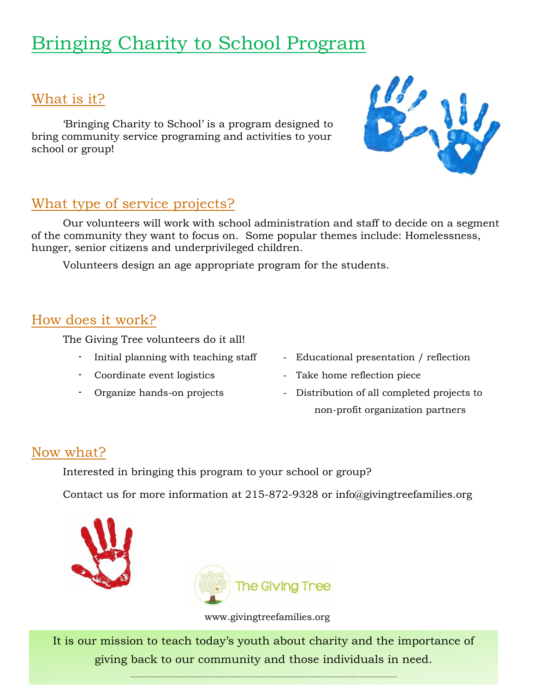# Bringing Charity to School Program

# What is it?

'Bringing Charity to School' is a program designed to bring community service programing and activities to your school or group!



## What type of service projects?

Our volunteers will work with school administration and staff to decide on a segment of the community they want to focus on. Some popular themes include: Homelessness, hunger, senior citizens and underprivileged children.

Volunteers design an age appropriate program for the students.

#### How does it work?

The Giving Tree volunteers do it all!

- 
- Coordinate event logistics Take home reflection piece
- 
- Initial planning with teaching staff  $\qquad$  Educational presentation / reflection
	-
- Organize hands-on projects Distribution of all completed projects to non-profit organization partners

## Now what?

Interested in bringing this program to your school or group?

Contact us for more information at 215-872-9328 or [info@givingtreefamilies.org](mailto:info@givingtreefamilies.org)





[www.givingtreefamilies.org](http://www.givingtreefamilies.org/)

It is our mission to teach today's youth about charity and the importance of giving back to our community and those individuals in need.

-----------------------------------------------------------------------------------------------------------------